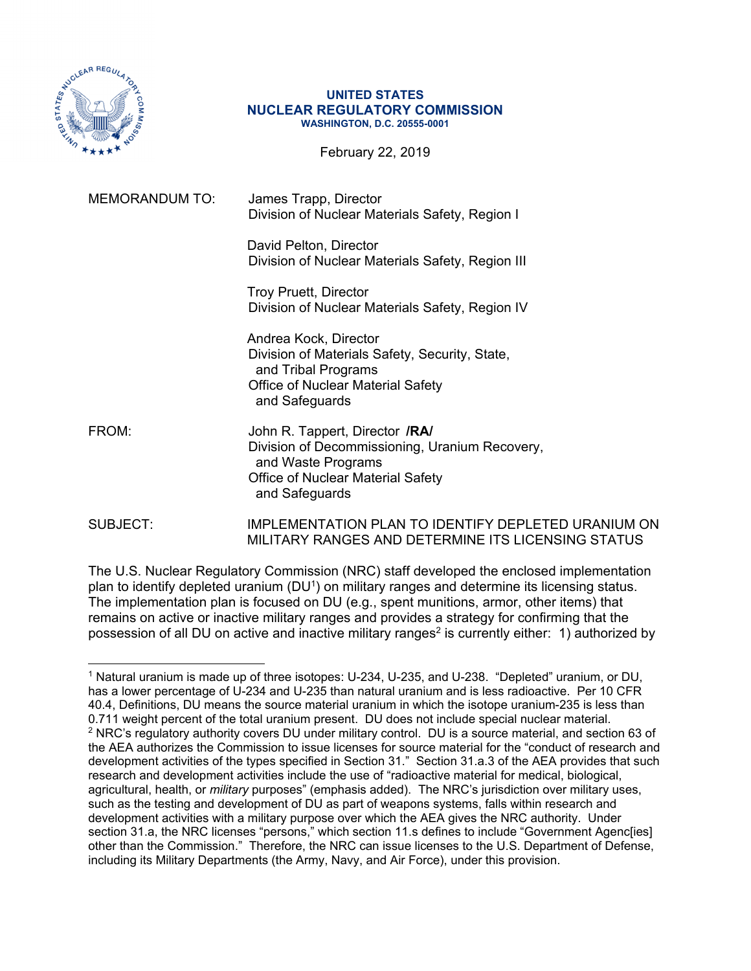

#### **UNITED STATES NUCLEAR REGULATORY COMMISSION WASHINGTON, D.C. 20555-0001**

February 22, 2019

| <b>MEMORANDUM TO:</b> | James Trapp, Director<br>Division of Nuclear Materials Safety, Region I                                                                                       |
|-----------------------|---------------------------------------------------------------------------------------------------------------------------------------------------------------|
|                       | David Pelton, Director<br>Division of Nuclear Materials Safety, Region III                                                                                    |
|                       | <b>Troy Pruett, Director</b><br>Division of Nuclear Materials Safety, Region IV                                                                               |
|                       | Andrea Kock, Director<br>Division of Materials Safety, Security, State,<br>and Tribal Programs<br>Office of Nuclear Material Safety<br>and Safeguards         |
| FROM:                 | John R. Tappert, Director /RA/<br>Division of Decommissioning, Uranium Recovery,<br>and Waste Programs<br>Office of Nuclear Material Safety<br>and Safeguards |
| SUBJECT:              | <b>IMPLEMENTATION PLAN TO IDENTIFY DEPLETED URANIUM ON</b><br>MILITARY RANGES AND DETERMINE ITS LICENSING STATUS                                              |

The U.S. Nuclear Regulatory Commission (NRC) staff developed the enclosed implementation plan to identify depleted uranium (DU1) on military ranges and determine its licensing status. The implementation plan is focused on DU (e.g., spent munitions, armor, other items) that remains on active or inactive military ranges and provides a strategy for confirming that the possession of all DU on active and inactive military ranges<sup>2</sup> is currently either: 1) authorized by

<sup>1</sup> Natural uranium is made up of three isotopes: U-234, U-235, and U-238. "Depleted" uranium, or DU, has a lower percentage of U-234 and U-235 than natural uranium and is less radioactive. Per 10 CFR 40.4, Definitions, DU means the source material uranium in which the isotope uranium-235 is less than 0.711 weight percent of the total uranium present. DU does not include special nuclear material. 2 NRC's regulatory authority covers DU under military control. DU is a source material, and section 63 of the AEA authorizes the Commission to issue licenses for source material for the "conduct of research and development activities of the types specified in Section 31." Section 31.a.3 of the AEA provides that such research and development activities include the use of "radioactive material for medical, biological, agricultural, health, or *military* purposes" (emphasis added). The NRC's jurisdiction over military uses, such as the testing and development of DU as part of weapons systems, falls within research and development activities with a military purpose over which the AEA gives the NRC authority. Under section 31.a, the NRC licenses "persons," which section 11.s defines to include "Government Agenc[ies] other than the Commission." Therefore, the NRC can issue licenses to the U.S. Department of Defense, including its Military Departments (the Army, Navy, and Air Force), under this provision.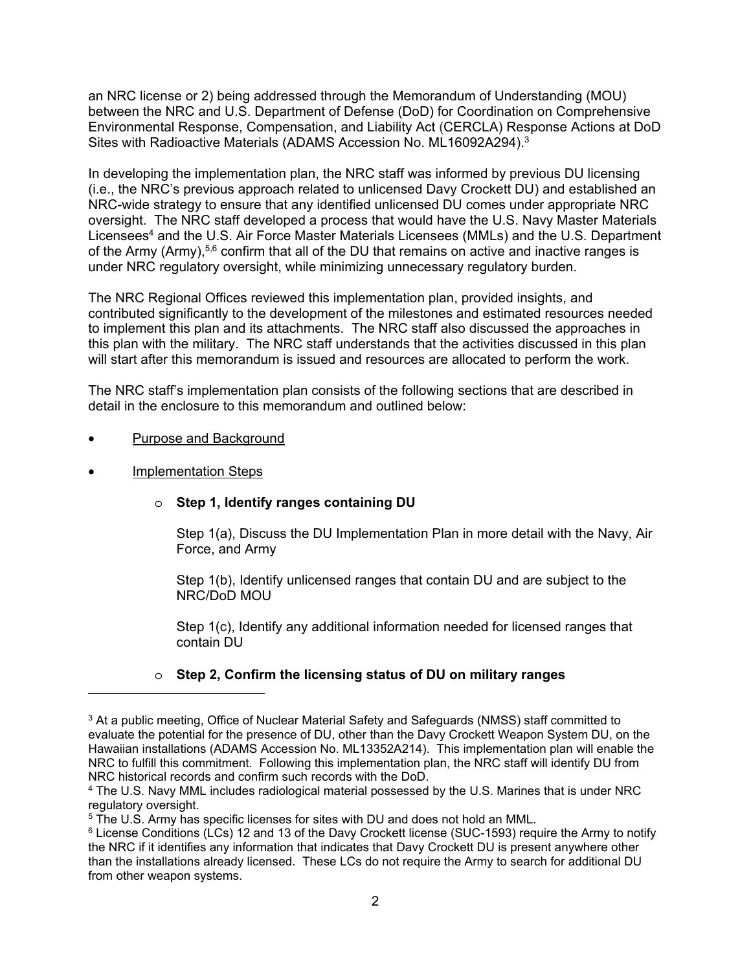an NRC license or 2) being addressed through the Memorandum of Understanding (MOU) between the NRC and U.S. Department of Defense (DoD) for Coordination on Comprehensive Environmental Response, Compensation, and Liability Act (CERCLA) Response Actions at DoD Sites with Radioactive Materials (ADAMS Accession No. ML16092A294).3

In developing the implementation plan, the NRC staff was informed by previous DU licensing (i.e., the NRC's previous approach related to unlicensed Davy Crockett DU) and established an NRC-wide strategy to ensure that any identified unlicensed DU comes under appropriate NRC oversight. The NRC staff developed a process that would have the U.S. Navy Master Materials Licensees<sup>4</sup> and the U.S. Air Force Master Materials Licensees (MMLs) and the U.S. Department of the Army (Army),<sup>5,6</sup> confirm that all of the DU that remains on active and inactive ranges is under NRC regulatory oversight, while minimizing unnecessary regulatory burden.

The NRC Regional Offices reviewed this implementation plan, provided insights, and contributed significantly to the development of the milestones and estimated resources needed to implement this plan and its attachments. The NRC staff also discussed the approaches in this plan with the military. The NRC staff understands that the activities discussed in this plan will start after this memorandum is issued and resources are allocated to perform the work.

The NRC staff's implementation plan consists of the following sections that are described in detail in the enclosure to this memorandum and outlined below:

- Purpose and Background
- Implementation Steps

## o **Step 1, Identify ranges containing DU**

Step 1(a), Discuss the DU Implementation Plan in more detail with the Navy, Air Force, and Army

Step 1(b), Identify unlicensed ranges that contain DU and are subject to the NRC/DoD MOU

Step 1(c), Identify any additional information needed for licensed ranges that contain DU

## o **Step 2, Confirm the licensing status of DU on military ranges**

<sup>&</sup>lt;sup>3</sup> At a public meeting, Office of Nuclear Material Safety and Safeguards (NMSS) staff committed to evaluate the potential for the presence of DU, other than the Davy Crockett Weapon System DU, on the Hawaiian installations (ADAMS Accession No. ML13352A214). This implementation plan will enable the NRC to fulfill this commitment. Following this implementation plan, the NRC staff will identify DU from NRC historical records and confirm such records with the DoD.

<sup>4</sup> The U.S. Navy MML includes radiological material possessed by the U.S. Marines that is under NRC regulatory oversight.

<sup>5</sup> The U.S. Army has specific licenses for sites with DU and does not hold an MML.

<sup>&</sup>lt;sup>6</sup> License Conditions (LCs) 12 and 13 of the Davy Crockett license (SUC-1593) require the Army to notify the NRC if it identifies any information that indicates that Davy Crockett DU is present anywhere other than the installations already licensed. These LCs do not require the Army to search for additional DU from other weapon systems.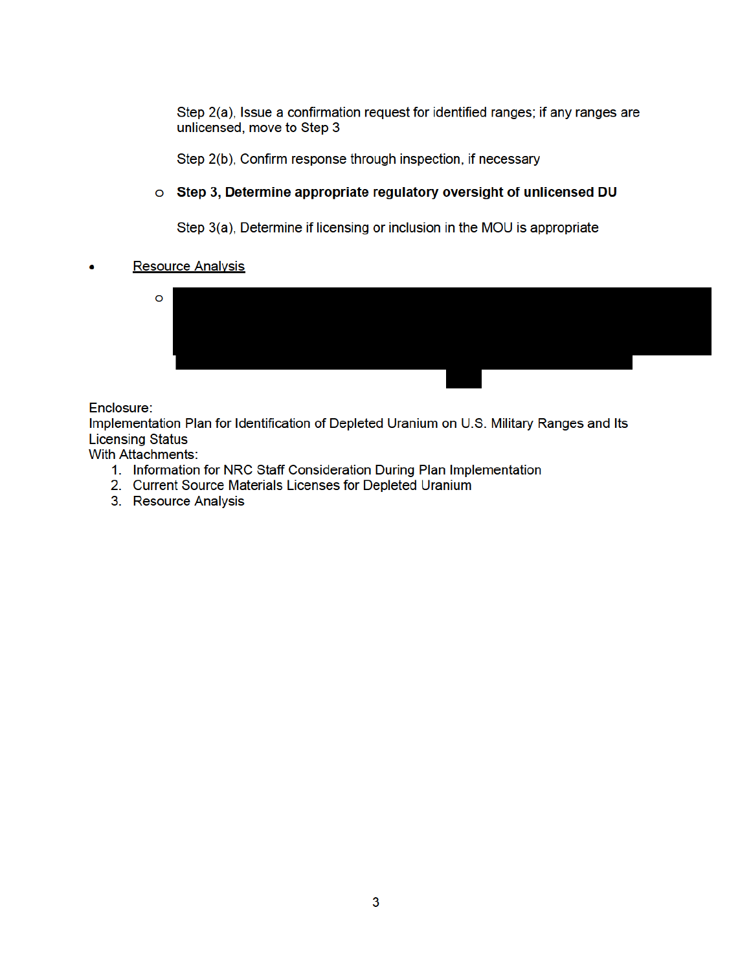Step 2(a), Issue a confirmation request for identified ranges; if any ranges are unlicensed, move to Step 3

Step 2(b), Confirm response through inspection, if necessary

#### o Step 3, Determine appropriate regulatory oversight of unlicensed DU

Step 3(a), Determine if licensing or inclusion in the MOU is appropriate

#### **Resource Analysis**



#### Enclosure:

Implementation Plan for Identification of Depleted Uranium on U.S. Military Ranges and Its **Licensing Status** 

With Attachments:

- 1. Information for NRC Staff Consideration During Plan Implementation
- 2. Current Source Materials Licenses for Depleted Uranium
- 3. Resource Analysis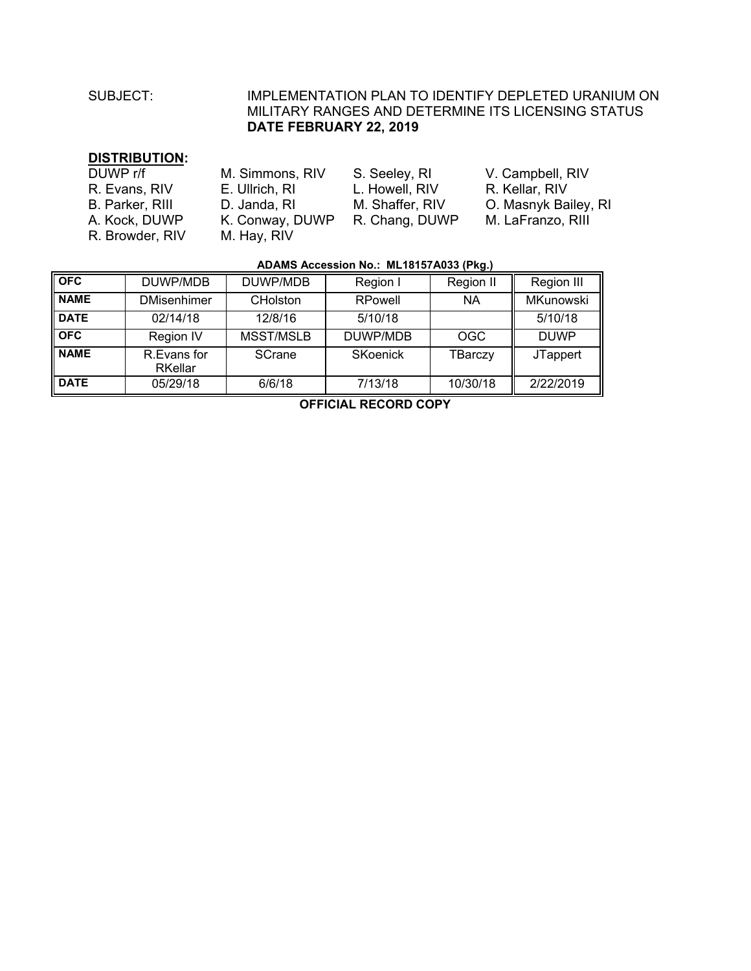# SUBJECT: IMPLEMENTATION PLAN TO IDENTIFY DEPLETED URANIUM ON MILITARY RANGES AND DETERMINE ITS LICENSING STATUS **DATE FEBRUARY 22, 2019**

#### **DISTRIBUTION:**

| DUWP r/f        | M. Simmons, RIV | S. Seeley, RI   | V. Campbell, RIV     |
|-----------------|-----------------|-----------------|----------------------|
| R. Evans, RIV   | E. Ullrich, RI  | L. Howell, RIV  | R. Kellar, RIV       |
| B. Parker, RIII | D. Janda, RI    | M. Shaffer, RIV | O. Masnyk Bailey, RI |
| A. Kock, DUWP   | K. Conway, DUWP | R. Chang, DUWP  | M. LaFranzo, RIII    |
| R. Browder, RIV | M. Hay, RIV     |                 |                      |

#### **ADAMS Accession No.: ML18157A033 (Pkg.)**

| <b>OFC</b>  | DUWP/MDB                      | DUWP/MDB        | Region I | Region II  | Region III       |
|-------------|-------------------------------|-----------------|----------|------------|------------------|
| <b>NAME</b> | <b>DMisenhimer</b>            | <b>CHolston</b> | RPowell  | <b>NA</b>  | <b>MKunowski</b> |
| <b>DATE</b> | 02/14/18                      | 12/8/16         | 5/10/18  |            | 5/10/18          |
| <b>OFC</b>  | <b>Region IV</b>              | MSST/MSLB       | DUWP/MDB | <b>OGC</b> | <b>DUWP</b>      |
| <b>NAME</b> | R.Evans for<br><b>RKellar</b> | SCrane          | SKoenick | TBarczy    | <b>JTappert</b>  |
| <b>DATE</b> | 05/29/18                      | 6/6/18          | 7/13/18  | 10/30/18   | 2/22/2019        |

**OFFICIAL RECORD COPY**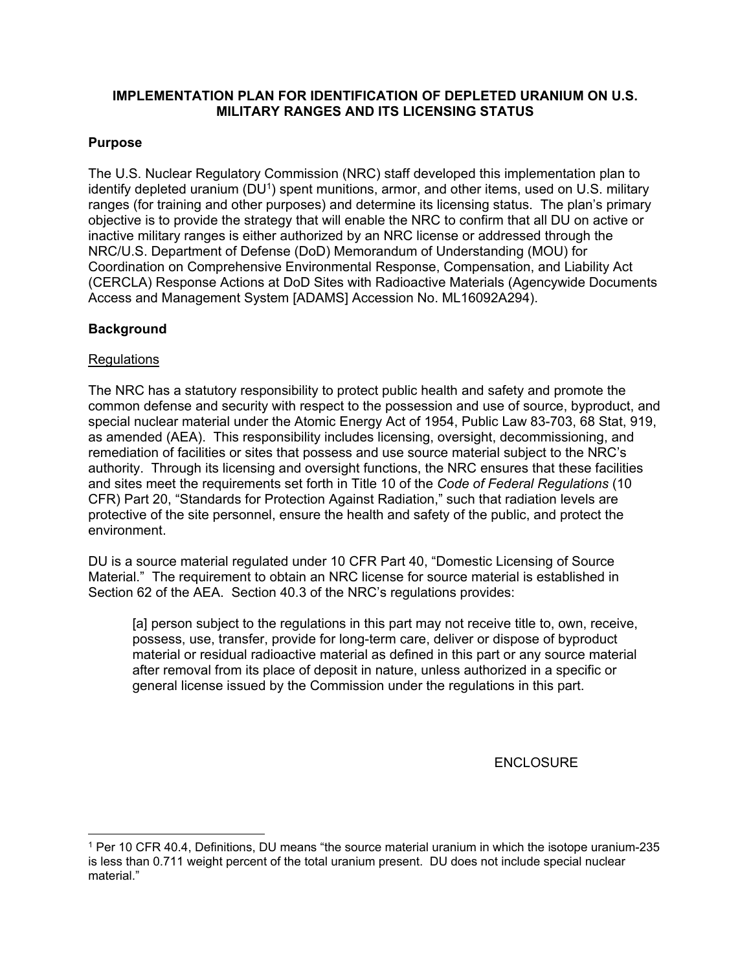## **IMPLEMENTATION PLAN FOR IDENTIFICATION OF DEPLETED URANIUM ON U.S. MILITARY RANGES AND ITS LICENSING STATUS**

## **Purpose**

The U.S. Nuclear Regulatory Commission (NRC) staff developed this implementation plan to identify depleted uranium (DU<sup>1</sup>) spent munitions, armor, and other items, used on U.S. military ranges (for training and other purposes) and determine its licensing status. The plan's primary objective is to provide the strategy that will enable the NRC to confirm that all DU on active or inactive military ranges is either authorized by an NRC license or addressed through the NRC/U.S. Department of Defense (DoD) Memorandum of Understanding (MOU) for Coordination on Comprehensive Environmental Response, Compensation, and Liability Act (CERCLA) Response Actions at DoD Sites with Radioactive Materials (Agencywide Documents Access and Management System [ADAMS] Accession No. ML16092A294).

## **Background**

#### **Regulations**

The NRC has a statutory responsibility to protect public health and safety and promote the common defense and security with respect to the possession and use of source, byproduct, and special nuclear material under the Atomic Energy Act of 1954, Public Law 83-703, 68 Stat, 919, as amended (AEA). This responsibility includes licensing, oversight, decommissioning, and remediation of facilities or sites that possess and use source material subject to the NRC's authority. Through its licensing and oversight functions, the NRC ensures that these facilities and sites meet the requirements set forth in Title 10 of the *Code of Federal Regulations* (10 CFR) Part 20, "Standards for Protection Against Radiation," such that radiation levels are protective of the site personnel, ensure the health and safety of the public, and protect the environment.

DU is a source material regulated under 10 CFR Part 40, "Domestic Licensing of Source Material." The requirement to obtain an NRC license for source material is established in Section 62 of the AEA. Section 40.3 of the NRC's regulations provides:

[a] person subject to the regulations in this part may not receive title to, own, receive, possess, use, transfer, provide for long-term care, deliver or dispose of byproduct material or residual radioactive material as defined in this part or any source material after removal from its place of deposit in nature, unless authorized in a specific or general license issued by the Commission under the regulations in this part.

#### **ENCLOSURE**

 1 Per 10 CFR 40.4, Definitions, DU means "the source material uranium in which the isotope uranium-235 is less than 0.711 weight percent of the total uranium present. DU does not include special nuclear material."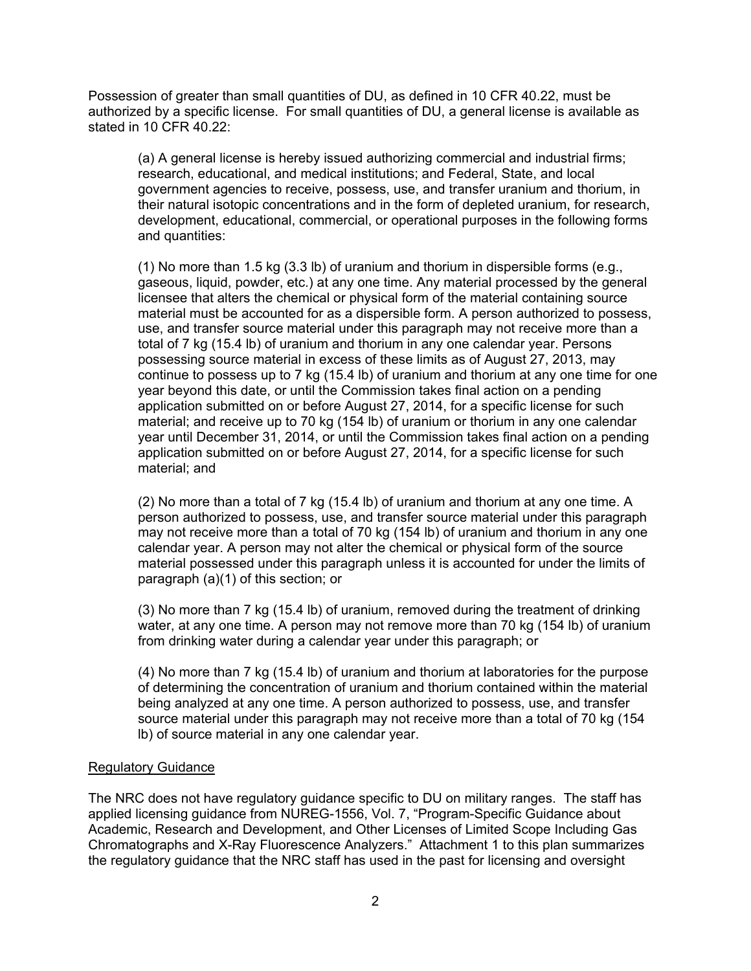Possession of greater than small quantities of DU, as defined in 10 CFR 40.22, must be authorized by a specific license. For small quantities of DU, a general license is available as stated in 10 CFR 40.22:

(a) A general license is hereby issued authorizing commercial and industrial firms; research, educational, and medical institutions; and Federal, State, and local government agencies to receive, possess, use, and transfer uranium and thorium, in their natural isotopic concentrations and in the form of depleted uranium, for research, development, educational, commercial, or operational purposes in the following forms and quantities:

(1) No more than 1.5 kg  $(3.3 \text{ lb})$  of uranium and thorium in dispersible forms (e.g., gaseous, liquid, powder, etc.) at any one time. Any material processed by the general licensee that alters the chemical or physical form of the material containing source material must be accounted for as a dispersible form. A person authorized to possess, use, and transfer source material under this paragraph may not receive more than a total of 7 kg (15.4 lb) of uranium and thorium in any one calendar year. Persons possessing source material in excess of these limits as of August 27, 2013, may continue to possess up to 7 kg (15.4 lb) of uranium and thorium at any one time for one year beyond this date, or until the Commission takes final action on a pending application submitted on or before August 27, 2014, for a specific license for such material; and receive up to 70 kg (154 lb) of uranium or thorium in any one calendar year until December 31, 2014, or until the Commission takes final action on a pending application submitted on or before August 27, 2014, for a specific license for such material; and

(2) No more than a total of 7 kg (15.4 lb) of uranium and thorium at any one time. A person authorized to possess, use, and transfer source material under this paragraph may not receive more than a total of 70 kg (154 lb) of uranium and thorium in any one calendar year. A person may not alter the chemical or physical form of the source material possessed under this paragraph unless it is accounted for under the limits of paragraph (a)(1) of this section; or

(3) No more than 7 kg (15.4 lb) of uranium, removed during the treatment of drinking water, at any one time. A person may not remove more than 70 kg (154 lb) of uranium from drinking water during a calendar year under this paragraph; or

(4) No more than 7 kg (15.4 lb) of uranium and thorium at laboratories for the purpose of determining the concentration of uranium and thorium contained within the material being analyzed at any one time. A person authorized to possess, use, and transfer source material under this paragraph may not receive more than a total of 70 kg (154 lb) of source material in any one calendar year.

#### Regulatory Guidance

The NRC does not have regulatory guidance specific to DU on military ranges. The staff has applied licensing guidance from NUREG-1556, Vol. 7, "Program-Specific Guidance about Academic, Research and Development, and Other Licenses of Limited Scope Including Gas Chromatographs and X-Ray Fluorescence Analyzers." Attachment 1 to this plan summarizes the regulatory guidance that the NRC staff has used in the past for licensing and oversight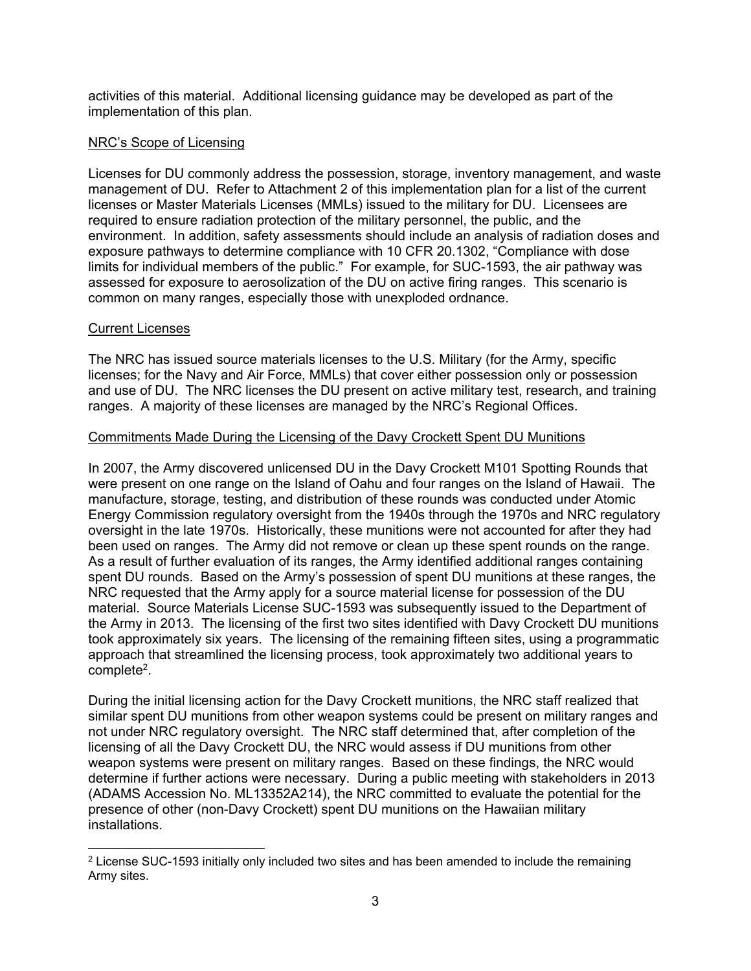activities of this material. Additional licensing guidance may be developed as part of the implementation of this plan.

### NRC's Scope of Licensing

Licenses for DU commonly address the possession, storage, inventory management, and waste management of DU. Refer to Attachment 2 of this implementation plan for a list of the current licenses or Master Materials Licenses (MMLs) issued to the military for DU. Licensees are required to ensure radiation protection of the military personnel, the public, and the environment. In addition, safety assessments should include an analysis of radiation doses and exposure pathways to determine compliance with 10 CFR 20.1302, "Compliance with dose limits for individual members of the public." For example, for SUC-1593, the air pathway was assessed for exposure to aerosolization of the DU on active firing ranges. This scenario is common on many ranges, especially those with unexploded ordnance.

#### Current Licenses

-

The NRC has issued source materials licenses to the U.S. Military (for the Army, specific licenses; for the Navy and Air Force, MMLs) that cover either possession only or possession and use of DU. The NRC licenses the DU present on active military test, research, and training ranges. A majority of these licenses are managed by the NRC's Regional Offices.

#### Commitments Made During the Licensing of the Davy Crockett Spent DU Munitions

In 2007, the Army discovered unlicensed DU in the Davy Crockett M101 Spotting Rounds that were present on one range on the Island of Oahu and four ranges on the Island of Hawaii. The manufacture, storage, testing, and distribution of these rounds was conducted under Atomic Energy Commission regulatory oversight from the 1940s through the 1970s and NRC regulatory oversight in the late 1970s. Historically, these munitions were not accounted for after they had been used on ranges. The Army did not remove or clean up these spent rounds on the range. As a result of further evaluation of its ranges, the Army identified additional ranges containing spent DU rounds. Based on the Army's possession of spent DU munitions at these ranges, the NRC requested that the Army apply for a source material license for possession of the DU material. Source Materials License SUC-1593 was subsequently issued to the Department of the Army in 2013. The licensing of the first two sites identified with Davy Crockett DU munitions took approximately six years. The licensing of the remaining fifteen sites, using a programmatic approach that streamlined the licensing process, took approximately two additional years to complete2.

During the initial licensing action for the Davy Crockett munitions, the NRC staff realized that similar spent DU munitions from other weapon systems could be present on military ranges and not under NRC regulatory oversight. The NRC staff determined that, after completion of the licensing of all the Davy Crockett DU, the NRC would assess if DU munitions from other weapon systems were present on military ranges. Based on these findings, the NRC would determine if further actions were necessary. During a public meeting with stakeholders in 2013 (ADAMS Accession No. ML13352A214), the NRC committed to evaluate the potential for the presence of other (non-Davy Crockett) spent DU munitions on the Hawaiian military installations.

<sup>&</sup>lt;sup>2</sup> License SUC-1593 initially only included two sites and has been amended to include the remaining Army sites.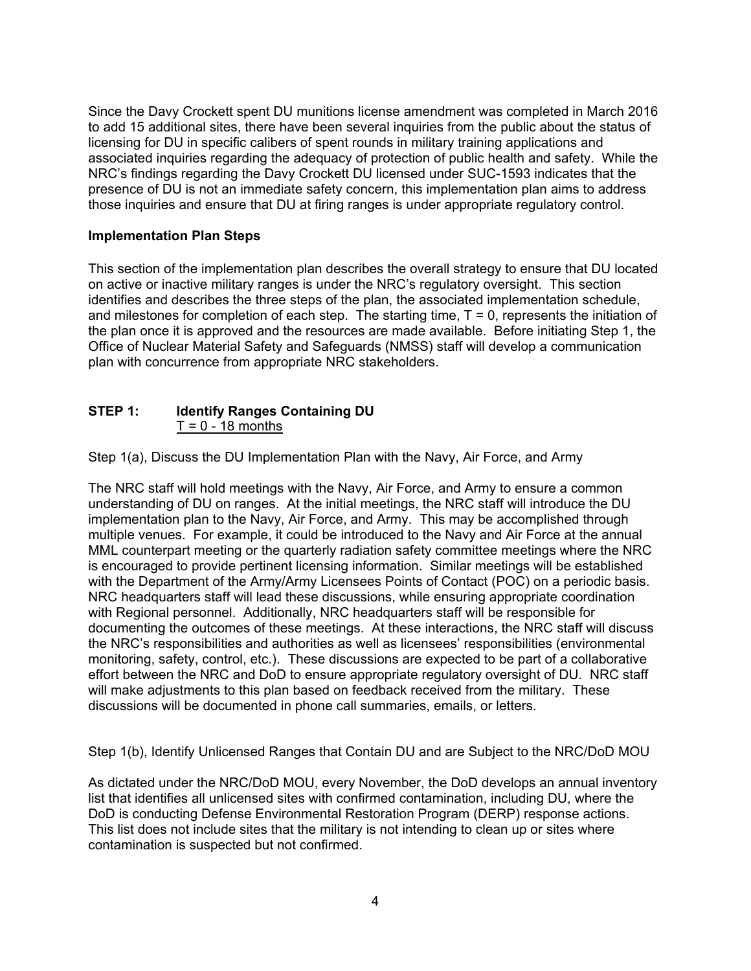Since the Davy Crockett spent DU munitions license amendment was completed in March 2016 to add 15 additional sites, there have been several inquiries from the public about the status of licensing for DU in specific calibers of spent rounds in military training applications and associated inquiries regarding the adequacy of protection of public health and safety. While the NRC's findings regarding the Davy Crockett DU licensed under SUC-1593 indicates that the presence of DU is not an immediate safety concern, this implementation plan aims to address those inquiries and ensure that DU at firing ranges is under appropriate regulatory control.

### **Implementation Plan Steps**

This section of the implementation plan describes the overall strategy to ensure that DU located on active or inactive military ranges is under the NRC's regulatory oversight. This section identifies and describes the three steps of the plan, the associated implementation schedule, and milestones for completion of each step. The starting time,  $T = 0$ , represents the initiation of the plan once it is approved and the resources are made available. Before initiating Step 1, the Office of Nuclear Material Safety and Safeguards (NMSS) staff will develop a communication plan with concurrence from appropriate NRC stakeholders.

### **STEP 1: Identify Ranges Containing DU**   $T = 0 - 18$  months

Step 1(a), Discuss the DU Implementation Plan with the Navy, Air Force, and Army

The NRC staff will hold meetings with the Navy, Air Force, and Army to ensure a common understanding of DU on ranges. At the initial meetings, the NRC staff will introduce the DU implementation plan to the Navy, Air Force, and Army. This may be accomplished through multiple venues. For example, it could be introduced to the Navy and Air Force at the annual MML counterpart meeting or the quarterly radiation safety committee meetings where the NRC is encouraged to provide pertinent licensing information. Similar meetings will be established with the Department of the Army/Army Licensees Points of Contact (POC) on a periodic basis. NRC headquarters staff will lead these discussions, while ensuring appropriate coordination with Regional personnel. Additionally, NRC headquarters staff will be responsible for documenting the outcomes of these meetings. At these interactions, the NRC staff will discuss the NRC's responsibilities and authorities as well as licensees' responsibilities (environmental monitoring, safety, control, etc.). These discussions are expected to be part of a collaborative effort between the NRC and DoD to ensure appropriate regulatory oversight of DU. NRC staff will make adjustments to this plan based on feedback received from the military. These discussions will be documented in phone call summaries, emails, or letters.

Step 1(b), Identify Unlicensed Ranges that Contain DU and are Subject to the NRC/DoD MOU

As dictated under the NRC/DoD MOU, every November, the DoD develops an annual inventory list that identifies all unlicensed sites with confirmed contamination, including DU, where the DoD is conducting Defense Environmental Restoration Program (DERP) response actions. This list does not include sites that the military is not intending to clean up or sites where contamination is suspected but not confirmed.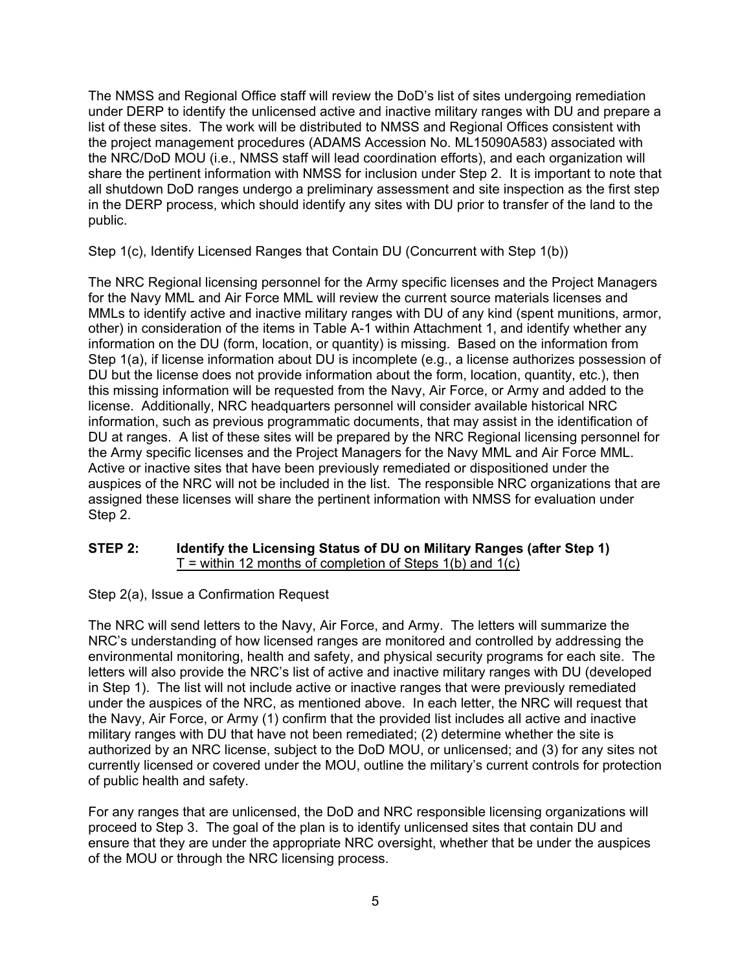The NMSS and Regional Office staff will review the DoD's list of sites undergoing remediation under DERP to identify the unlicensed active and inactive military ranges with DU and prepare a list of these sites. The work will be distributed to NMSS and Regional Offices consistent with the project management procedures (ADAMS Accession No. ML15090A583) associated with the NRC/DoD MOU (i.e., NMSS staff will lead coordination efforts), and each organization will share the pertinent information with NMSS for inclusion under Step 2. It is important to note that all shutdown DoD ranges undergo a preliminary assessment and site inspection as the first step in the DERP process, which should identify any sites with DU prior to transfer of the land to the public.

Step 1(c), Identify Licensed Ranges that Contain DU (Concurrent with Step 1(b))

The NRC Regional licensing personnel for the Army specific licenses and the Project Managers for the Navy MML and Air Force MML will review the current source materials licenses and MMLs to identify active and inactive military ranges with DU of any kind (spent munitions, armor, other) in consideration of the items in Table A-1 within Attachment 1, and identify whether any information on the DU (form, location, or quantity) is missing. Based on the information from Step 1(a), if license information about DU is incomplete (e.g., a license authorizes possession of DU but the license does not provide information about the form, location, quantity, etc.), then this missing information will be requested from the Navy, Air Force, or Army and added to the license. Additionally, NRC headquarters personnel will consider available historical NRC information, such as previous programmatic documents, that may assist in the identification of DU at ranges. A list of these sites will be prepared by the NRC Regional licensing personnel for the Army specific licenses and the Project Managers for the Navy MML and Air Force MML. Active or inactive sites that have been previously remediated or dispositioned under the auspices of the NRC will not be included in the list. The responsible NRC organizations that are assigned these licenses will share the pertinent information with NMSS for evaluation under Step 2.

#### **STEP 2: Identify the Licensing Status of DU on Military Ranges (after Step 1)**   $T =$  within 12 months of completion of Steps 1(b) and 1(c)

## Step 2(a), Issue a Confirmation Request

The NRC will send letters to the Navy, Air Force, and Army. The letters will summarize the NRC's understanding of how licensed ranges are monitored and controlled by addressing the environmental monitoring, health and safety, and physical security programs for each site. The letters will also provide the NRC's list of active and inactive military ranges with DU (developed in Step 1). The list will not include active or inactive ranges that were previously remediated under the auspices of the NRC, as mentioned above. In each letter, the NRC will request that the Navy, Air Force, or Army (1) confirm that the provided list includes all active and inactive military ranges with DU that have not been remediated; (2) determine whether the site is authorized by an NRC license, subject to the DoD MOU, or unlicensed; and (3) for any sites not currently licensed or covered under the MOU, outline the military's current controls for protection of public health and safety.

For any ranges that are unlicensed, the DoD and NRC responsible licensing organizations will proceed to Step 3. The goal of the plan is to identify unlicensed sites that contain DU and ensure that they are under the appropriate NRC oversight, whether that be under the auspices of the MOU or through the NRC licensing process.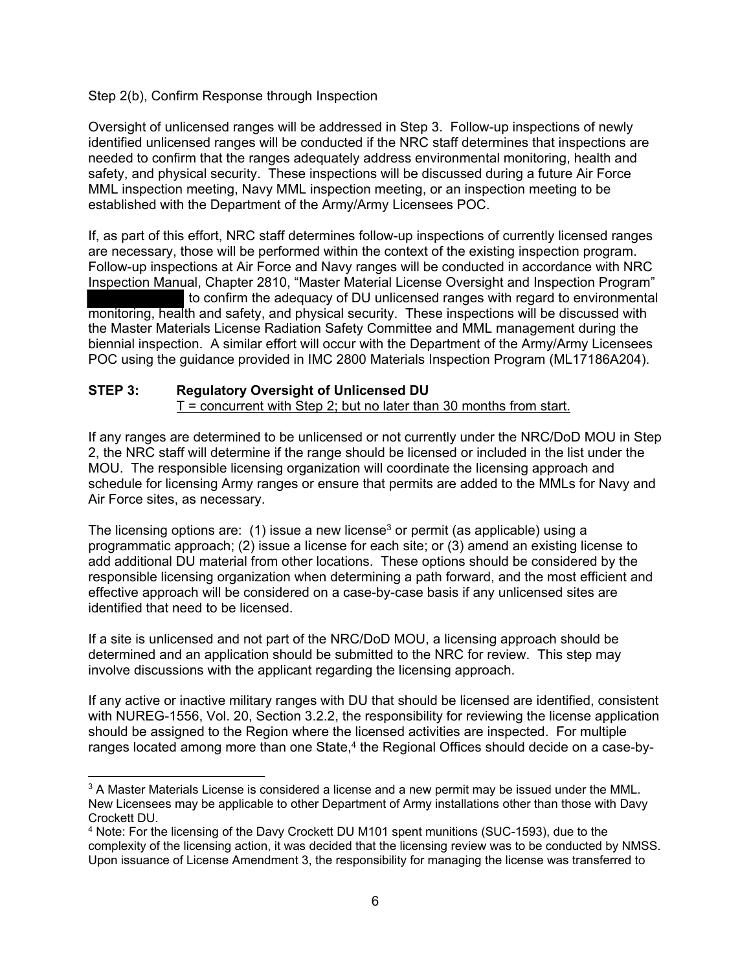Step 2(b), Confirm Response through Inspection

Oversight of unlicensed ranges will be addressed in Step 3. Follow-up inspections of newly identified unlicensed ranges will be conducted if the NRC staff determines that inspections are needed to confirm that the ranges adequately address environmental monitoring, health and safety, and physical security. These inspections will be discussed during a future Air Force MML inspection meeting, Navy MML inspection meeting, or an inspection meeting to be established with the Department of the Army/Army Licensees POC.

If, as part of this effort, NRC staff determines follow-up inspections of currently licensed ranges are necessary, those will be performed within the context of the existing inspection program. Follow-up inspections at Air Force and Navy ranges will be conducted in accordance with NRC Inspection Manual, Chapter 2810, "Master Material License Oversight and Inspection Program" to confirm the adequacy of DU unlicensed ranges with regard to environmental monitoring, health and safety, and physical security. These inspections will be discussed with the Master Materials License Radiation Safety Committee and MML management during the

biennial inspection. A similar effort will occur with the Department of the Army/Army Licensees POC using the guidance provided in IMC 2800 Materials Inspection Program (ML17186A204).

## **STEP 3: Regulatory Oversight of Unlicensed DU**

 $T =$  concurrent with Step 2; but no later than 30 months from start.

If any ranges are determined to be unlicensed or not currently under the NRC/DoD MOU in Step 2, the NRC staff will determine if the range should be licensed or included in the list under the MOU. The responsible licensing organization will coordinate the licensing approach and schedule for licensing Army ranges or ensure that permits are added to the MMLs for Navy and Air Force sites, as necessary.

The licensing options are: (1) issue a new license<sup>3</sup> or permit (as applicable) using a programmatic approach; (2) issue a license for each site; or (3) amend an existing license to add additional DU material from other locations. These options should be considered by the responsible licensing organization when determining a path forward, and the most efficient and effective approach will be considered on a case-by-case basis if any unlicensed sites are identified that need to be licensed.

If a site is unlicensed and not part of the NRC/DoD MOU, a licensing approach should be determined and an application should be submitted to the NRC for review. This step may involve discussions with the applicant regarding the licensing approach.

If any active or inactive military ranges with DU that should be licensed are identified, consistent with NUREG-1556, Vol. 20, Section 3.2.2, the responsibility for reviewing the license application should be assigned to the Region where the licensed activities are inspected. For multiple ranges located among more than one State,<sup>4</sup> the Regional Offices should decide on a case-by-

 $3$  A Master Materials License is considered a license and a new permit may be issued under the MML. New Licensees may be applicable to other Department of Army installations other than those with Davy Crockett DU.

<sup>4</sup> Note: For the licensing of the Davy Crockett DU M101 spent munitions (SUC-1593), due to the complexity of the licensing action, it was decided that the licensing review was to be conducted by NMSS. Upon issuance of License Amendment 3, the responsibility for managing the license was transferred to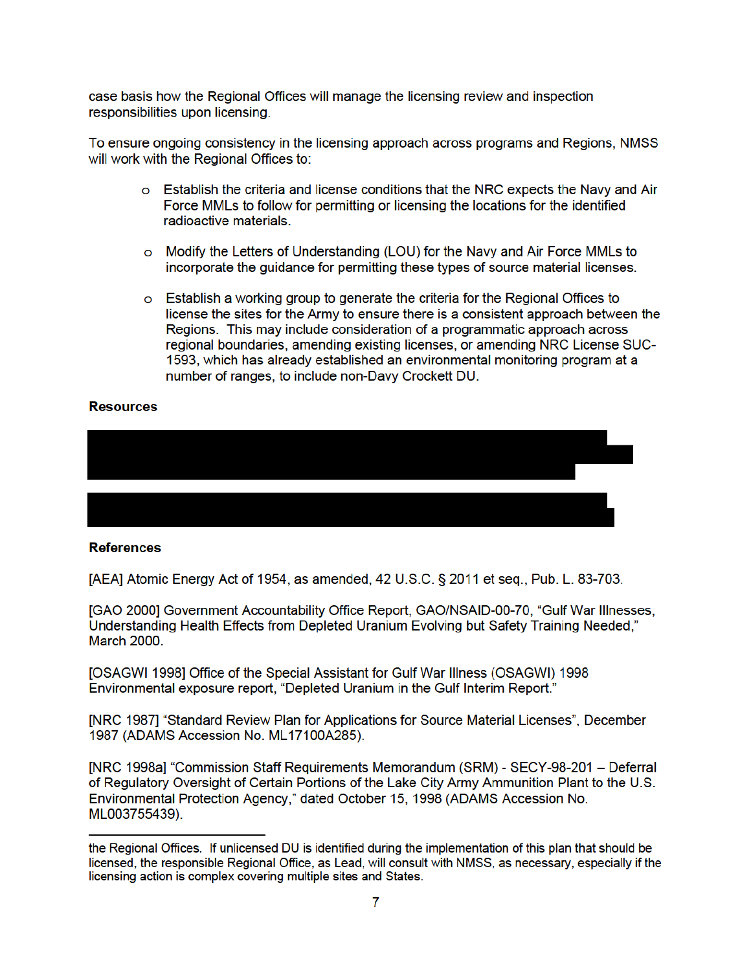case basis how the Regional Offices will manage the licensing review and inspection responsibilities upon licensing.

To ensure ongoing consistency in the licensing approach across programs and Regions, NMSS will work with the Regional Offices to:

- o Establish the criteria and license conditions that the NRC expects the Navy and Air Force MMLs to follow for permitting or licensing the locations for the identified radioactive materials.
- o Modify the Letters of Understanding (LOU) for the Navy and Air Force MMLs to incorporate the quidance for permitting these types of source material licenses.
- $\circ$  Establish a working group to generate the criteria for the Regional Offices to license the sites for the Army to ensure there is a consistent approach between the Regions. This may include consideration of a programmatic approach across regional boundaries, amending existing licenses, or amending NRC License SUC-1593, which has already established an environmental monitoring program at a number of ranges, to include non-Davy Crockett DU.

#### **Resources**



#### **References**

[AEA] Atomic Energy Act of 1954, as amended, 42 U.S.C. § 2011 et seq., Pub. L. 83-703.

[GAO 2000] Government Accountability Office Report, GAO/NSAID-00-70, "Gulf War Illnesses, Understanding Health Effects from Depleted Uranium Evolving but Safety Training Needed." **March 2000.** 

[OSAGWI 1998] Office of the Special Assistant for Gulf War Illness (OSAGWI) 1998 Environmental exposure report, "Depleted Uranium in the Gulf Interim Report."

[NRC 1987] "Standard Review Plan for Applications for Source Material Licenses", December 1987 (ADAMS Accession No. ML17100A285).

[NRC 1998a] "Commission Staff Requirements Memorandum (SRM) - SECY-98-201 - Deferral of Regulatory Oversight of Certain Portions of the Lake City Army Ammunition Plant to the U.S. Environmental Protection Agency," dated October 15, 1998 (ADAMS Accession No. ML003755439).

the Regional Offices. If unlicensed DU is identified during the implementation of this plan that should be licensed, the responsible Regional Office, as Lead, will consult with NMSS, as necessary, especially if the licensing action is complex covering multiple sites and States.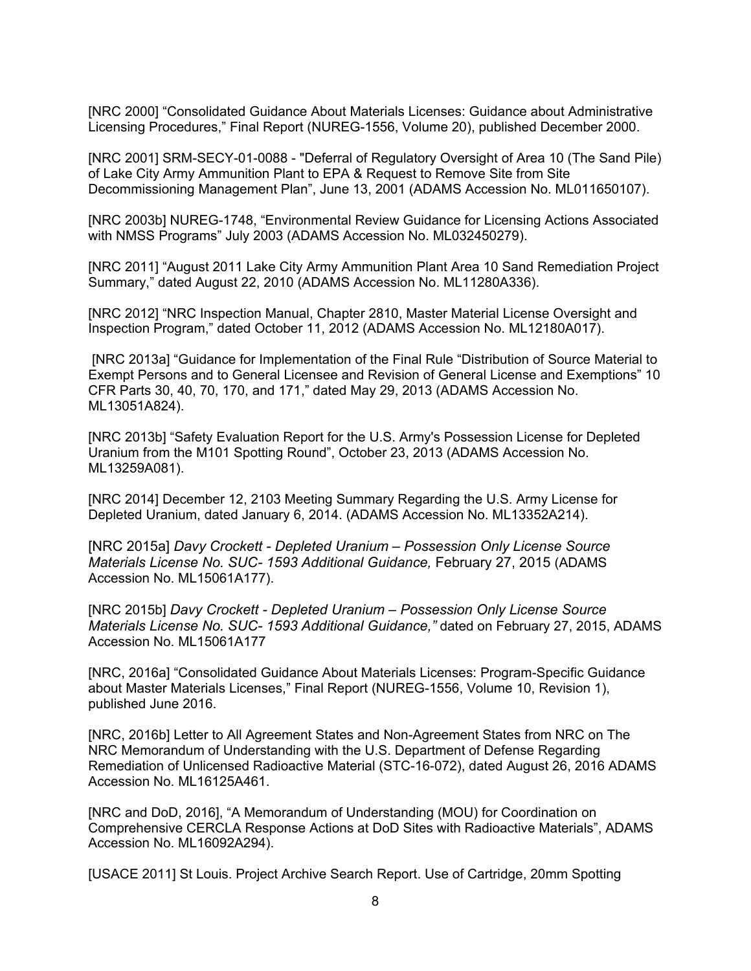[NRC 2000] "Consolidated Guidance About Materials Licenses: Guidance about Administrative Licensing Procedures," Final Report (NUREG-1556, Volume 20), published December 2000.

[NRC 2001] SRM-SECY-01-0088 - "Deferral of Regulatory Oversight of Area 10 (The Sand Pile) of Lake City Army Ammunition Plant to EPA & Request to Remove Site from Site Decommissioning Management Plan", June 13, 2001 (ADAMS Accession No. ML011650107).

[NRC 2003b] NUREG-1748, "Environmental Review Guidance for Licensing Actions Associated with NMSS Programs" July 2003 (ADAMS Accession No. ML032450279).

[NRC 2011] "August 2011 Lake City Army Ammunition Plant Area 10 Sand Remediation Project Summary," dated August 22, 2010 (ADAMS Accession No. ML11280A336).

[NRC 2012] "NRC Inspection Manual, Chapter 2810, Master Material License Oversight and Inspection Program," dated October 11, 2012 (ADAMS Accession No. ML12180A017).

 [NRC 2013a] "Guidance for Implementation of the Final Rule "Distribution of Source Material to Exempt Persons and to General Licensee and Revision of General License and Exemptions" 10 CFR Parts 30, 40, 70, 170, and 171," dated May 29, 2013 (ADAMS Accession No. ML13051A824).

[NRC 2013b] "Safety Evaluation Report for the U.S. Army's Possession License for Depleted Uranium from the M101 Spotting Round", October 23, 2013 (ADAMS Accession No. ML13259A081).

[NRC 2014] December 12, 2103 Meeting Summary Regarding the U.S. Army License for Depleted Uranium, dated January 6, 2014. (ADAMS Accession No. ML13352A214).

[NRC 2015a] *Davy Crockett - Depleted Uranium – Possession Only License Source Materials License No. SUC- 1593 Additional Guidance,* February 27, 2015 (ADAMS Accession No. ML15061A177).

[NRC 2015b] *Davy Crockett - Depleted Uranium – Possession Only License Source Materials License No. SUC- 1593 Additional Guidance,"* dated on February 27, 2015, ADAMS Accession No. ML15061A177

[NRC, 2016a] "Consolidated Guidance About Materials Licenses: Program-Specific Guidance about Master Materials Licenses," Final Report (NUREG-1556, Volume 10, Revision 1), published June 2016.

[NRC, 2016b] Letter to All Agreement States and Non-Agreement States from NRC on The NRC Memorandum of Understanding with the U.S. Department of Defense Regarding Remediation of Unlicensed Radioactive Material (STC-16-072), dated August 26, 2016 ADAMS Accession No. ML16125A461.

[NRC and DoD, 2016], "A Memorandum of Understanding (MOU) for Coordination on Comprehensive CERCLA Response Actions at DoD Sites with Radioactive Materials", ADAMS Accession No. ML16092A294).

[USACE 2011] St Louis. Project Archive Search Report. Use of Cartridge, 20mm Spotting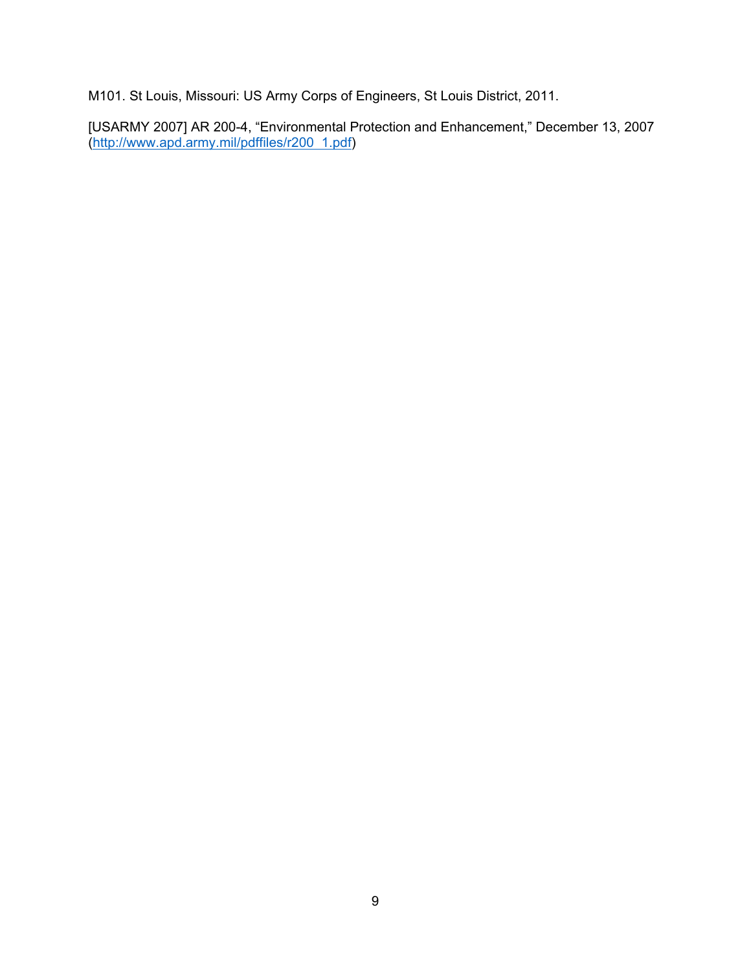M101. St Louis, Missouri: US Army Corps of Engineers, St Louis District, 2011.

[USARMY 2007] AR 200-4, "Environmental Protection and Enhancement," December 13, 2007 (http://www.apd.army.mil/pdffiles/r200 1.pdf)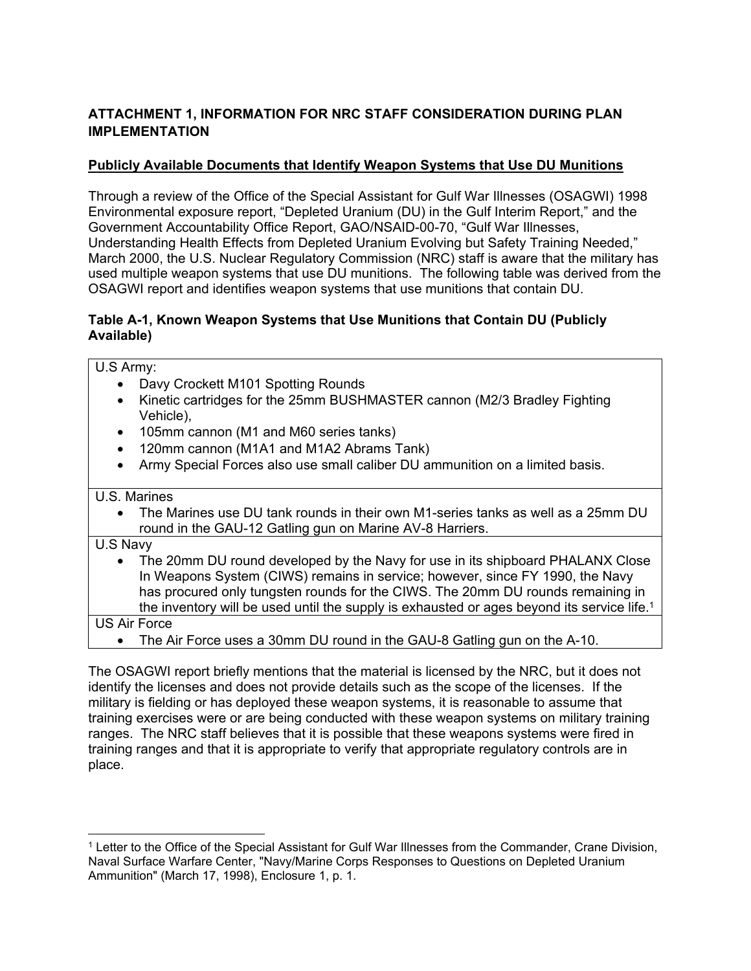## **ATTACHMENT 1, INFORMATION FOR NRC STAFF CONSIDERATION DURING PLAN IMPLEMENTATION**

## **Publicly Available Documents that Identify Weapon Systems that Use DU Munitions**

Through a review of the Office of the Special Assistant for Gulf War Illnesses (OSAGWI) 1998 Environmental exposure report, "Depleted Uranium (DU) in the Gulf Interim Report," and the Government Accountability Office Report, GAO/NSAID-00-70, "Gulf War Illnesses, Understanding Health Effects from Depleted Uranium Evolving but Safety Training Needed," March 2000, the U.S. Nuclear Regulatory Commission (NRC) staff is aware that the military has used multiple weapon systems that use DU munitions. The following table was derived from the OSAGWI report and identifies weapon systems that use munitions that contain DU.

## **Table A-1, Known Weapon Systems that Use Munitions that Contain DU (Publicly Available)**

U.S Army:

- Davy Crockett M101 Spotting Rounds
- Kinetic cartridges for the 25mm BUSHMASTER cannon (M2/3 Bradley Fighting Vehicle),
- 105mm cannon (M1 and M60 series tanks)
- 120mm cannon (M1A1 and M1A2 Abrams Tank)
- Army Special Forces also use small caliber DU ammunition on a limited basis.

## U.S. Marines

• The Marines use DU tank rounds in their own M1-series tanks as well as a 25mm DU round in the GAU-12 Gatling gun on Marine AV-8 Harriers.

U.S Navy

• The 20mm DU round developed by the Navy for use in its shipboard PHALANX Close In Weapons System (CIWS) remains in service; however, since FY 1990, the Navy has procured only tungsten rounds for the CIWS. The 20mm DU rounds remaining in the inventory will be used until the supply is exhausted or ages beyond its service life.<sup>1</sup>

US Air Force

• The Air Force uses a 30mm DU round in the GAU-8 Gatling gun on the A-10.

The OSAGWI report briefly mentions that the material is licensed by the NRC, but it does not identify the licenses and does not provide details such as the scope of the licenses. If the military is fielding or has deployed these weapon systems, it is reasonable to assume that training exercises were or are being conducted with these weapon systems on military training ranges. The NRC staff believes that it is possible that these weapons systems were fired in training ranges and that it is appropriate to verify that appropriate regulatory controls are in place.

 $1$  Letter to the Office of the Special Assistant for Gulf War Illnesses from the Commander, Crane Division, Naval Surface Warfare Center, "Navy/Marine Corps Responses to Questions on Depleted Uranium Ammunition" (March 17, 1998), Enclosure 1, p. 1.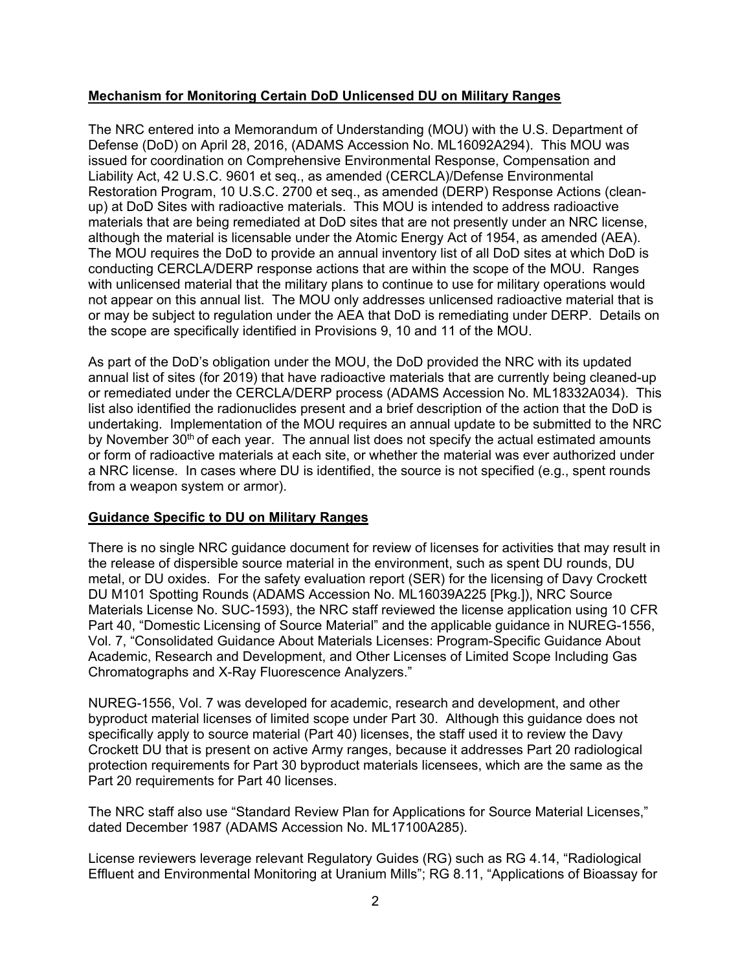### **Mechanism for Monitoring Certain DoD Unlicensed DU on Military Ranges**

The NRC entered into a Memorandum of Understanding (MOU) with the U.S. Department of Defense (DoD) on April 28, 2016, (ADAMS Accession No. ML16092A294). This MOU was issued for coordination on Comprehensive Environmental Response, Compensation and Liability Act, 42 U.S.C. 9601 et seq., as amended (CERCLA)/Defense Environmental Restoration Program, 10 U.S.C. 2700 et seq., as amended (DERP) Response Actions (cleanup) at DoD Sites with radioactive materials. This MOU is intended to address radioactive materials that are being remediated at DoD sites that are not presently under an NRC license, although the material is licensable under the Atomic Energy Act of 1954, as amended (AEA). The MOU requires the DoD to provide an annual inventory list of all DoD sites at which DoD is conducting CERCLA/DERP response actions that are within the scope of the MOU. Ranges with unlicensed material that the military plans to continue to use for military operations would not appear on this annual list. The MOU only addresses unlicensed radioactive material that is or may be subject to regulation under the AEA that DoD is remediating under DERP. Details on the scope are specifically identified in Provisions 9, 10 and 11 of the MOU.

As part of the DoD's obligation under the MOU, the DoD provided the NRC with its updated annual list of sites (for 2019) that have radioactive materials that are currently being cleaned-up or remediated under the CERCLA/DERP process (ADAMS Accession No. ML18332A034). This list also identified the radionuclides present and a brief description of the action that the DoD is undertaking. Implementation of the MOU requires an annual update to be submitted to the NRC by November 30<sup>th</sup> of each year. The annual list does not specify the actual estimated amounts or form of radioactive materials at each site, or whether the material was ever authorized under a NRC license. In cases where DU is identified, the source is not specified (e.g., spent rounds from a weapon system or armor).

#### **Guidance Specific to DU on Military Ranges**

There is no single NRC guidance document for review of licenses for activities that may result in the release of dispersible source material in the environment, such as spent DU rounds, DU metal, or DU oxides. For the safety evaluation report (SER) for the licensing of Davy Crockett DU M101 Spotting Rounds (ADAMS Accession No. ML16039A225 [Pkg.]), NRC Source Materials License No. SUC-1593), the NRC staff reviewed the license application using 10 CFR Part 40, "Domestic Licensing of Source Material" and the applicable guidance in NUREG-1556, Vol. 7, "Consolidated Guidance About Materials Licenses: Program-Specific Guidance About Academic, Research and Development, and Other Licenses of Limited Scope Including Gas Chromatographs and X-Ray Fluorescence Analyzers."

NUREG-1556, Vol. 7 was developed for academic, research and development, and other byproduct material licenses of limited scope under Part 30. Although this guidance does not specifically apply to source material (Part 40) licenses, the staff used it to review the Davy Crockett DU that is present on active Army ranges, because it addresses Part 20 radiological protection requirements for Part 30 byproduct materials licensees, which are the same as the Part 20 requirements for Part 40 licenses.

The NRC staff also use "Standard Review Plan for Applications for Source Material Licenses," dated December 1987 (ADAMS Accession No. ML17100A285).

License reviewers leverage relevant Regulatory Guides (RG) such as RG 4.14, "Radiological Effluent and Environmental Monitoring at Uranium Mills"; RG 8.11, "Applications of Bioassay for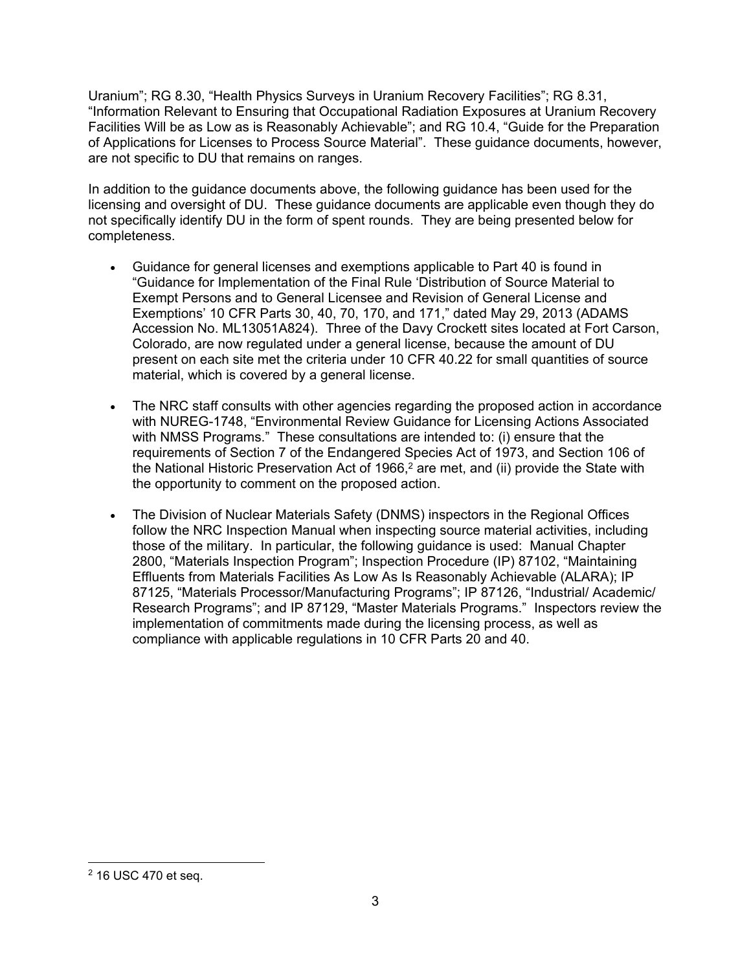Uranium"; RG 8.30, "Health Physics Surveys in Uranium Recovery Facilities"; RG 8.31, "Information Relevant to Ensuring that Occupational Radiation Exposures at Uranium Recovery Facilities Will be as Low as is Reasonably Achievable"; and RG 10.4, "Guide for the Preparation of Applications for Licenses to Process Source Material". These guidance documents, however, are not specific to DU that remains on ranges.

In addition to the guidance documents above, the following guidance has been used for the licensing and oversight of DU. These guidance documents are applicable even though they do not specifically identify DU in the form of spent rounds. They are being presented below for completeness.

- Guidance for general licenses and exemptions applicable to Part 40 is found in "Guidance for Implementation of the Final Rule 'Distribution of Source Material to Exempt Persons and to General Licensee and Revision of General License and Exemptions' 10 CFR Parts 30, 40, 70, 170, and 171," dated May 29, 2013 (ADAMS Accession No. ML13051A824). Three of the Davy Crockett sites located at Fort Carson, Colorado, are now regulated under a general license, because the amount of DU present on each site met the criteria under 10 CFR 40.22 for small quantities of source material, which is covered by a general license.
- The NRC staff consults with other agencies regarding the proposed action in accordance with NUREG-1748, "Environmental Review Guidance for Licensing Actions Associated with NMSS Programs." These consultations are intended to: (i) ensure that the requirements of Section 7 of the Endangered Species Act of 1973, and Section 106 of the National Historic Preservation Act of 1966,<sup>2</sup> are met, and (ii) provide the State with the opportunity to comment on the proposed action.
- The Division of Nuclear Materials Safety (DNMS) inspectors in the Regional Offices follow the NRC Inspection Manual when inspecting source material activities, including those of the military. In particular, the following guidance is used: Manual Chapter 2800, "Materials Inspection Program"; Inspection Procedure (IP) 87102, "Maintaining Effluents from Materials Facilities As Low As Is Reasonably Achievable (ALARA); IP 87125, "Materials Processor/Manufacturing Programs"; IP 87126, "Industrial/ Academic/ Research Programs"; and IP 87129, "Master Materials Programs." Inspectors review the implementation of commitments made during the licensing process, as well as compliance with applicable regulations in 10 CFR Parts 20 and 40.

<sup>2 16</sup> USC 470 et seq.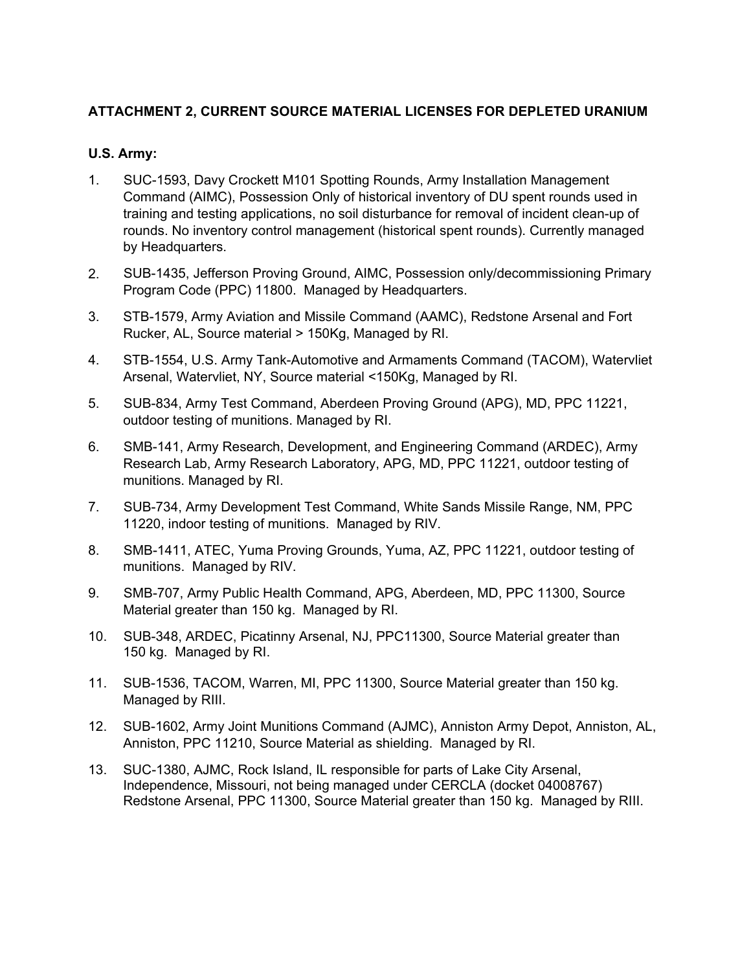## **ATTACHMENT 2, CURRENT SOURCE MATERIAL LICENSES FOR DEPLETED URANIUM**

## **U.S. Army:**

- 1. SUC-1593, Davy Crockett M101 Spotting Rounds, Army Installation Management Command (AIMC), Possession Only of historical inventory of DU spent rounds used in training and testing applications, no soil disturbance for removal of incident clean-up of rounds. No inventory control management (historical spent rounds). Currently managed by Headquarters.
- 2. SUB-1435, Jefferson Proving Ground, AIMC, Possession only/decommissioning Primary Program Code (PPC) 11800. Managed by Headquarters.
- 3. STB-1579, Army Aviation and Missile Command (AAMC), Redstone Arsenal and Fort Rucker, AL, Source material > 150Kg, Managed by RI.
- 4. STB-1554, U.S. Army Tank-Automotive and Armaments Command (TACOM), Watervliet Arsenal, Watervliet, NY, Source material <150Kg, Managed by RI.
- 5. SUB-834, Army Test Command, Aberdeen Proving Ground (APG), MD, PPC 11221, outdoor testing of munitions. Managed by RI.
- 6. SMB-141, Army Research, Development, and Engineering Command (ARDEC), Army Research Lab, Army Research Laboratory, APG, MD, PPC 11221, outdoor testing of munitions. Managed by RI.
- 7. SUB-734, Army Development Test Command, White Sands Missile Range, NM, PPC 11220, indoor testing of munitions. Managed by RIV.
- 8. SMB-1411, ATEC, Yuma Proving Grounds, Yuma, AZ, PPC 11221, outdoor testing of munitions. Managed by RIV.
- 9. SMB-707, Army Public Health Command, APG, Aberdeen, MD, PPC 11300, Source Material greater than 150 kg. Managed by RI.
- 10. SUB-348, ARDEC, Picatinny Arsenal, NJ, PPC11300, Source Material greater than 150 kg. Managed by RI.
- 11. SUB-1536, TACOM, Warren, MI, PPC 11300, Source Material greater than 150 kg. Managed by RIII.
- 12. SUB-1602, Army Joint Munitions Command (AJMC), Anniston Army Depot, Anniston, AL, Anniston, PPC 11210, Source Material as shielding. Managed by RI.
- 13. SUC-1380, AJMC, Rock Island, IL responsible for parts of Lake City Arsenal, Independence, Missouri, not being managed under CERCLA (docket 04008767) Redstone Arsenal, PPC 11300, Source Material greater than 150 kg. Managed by RIII.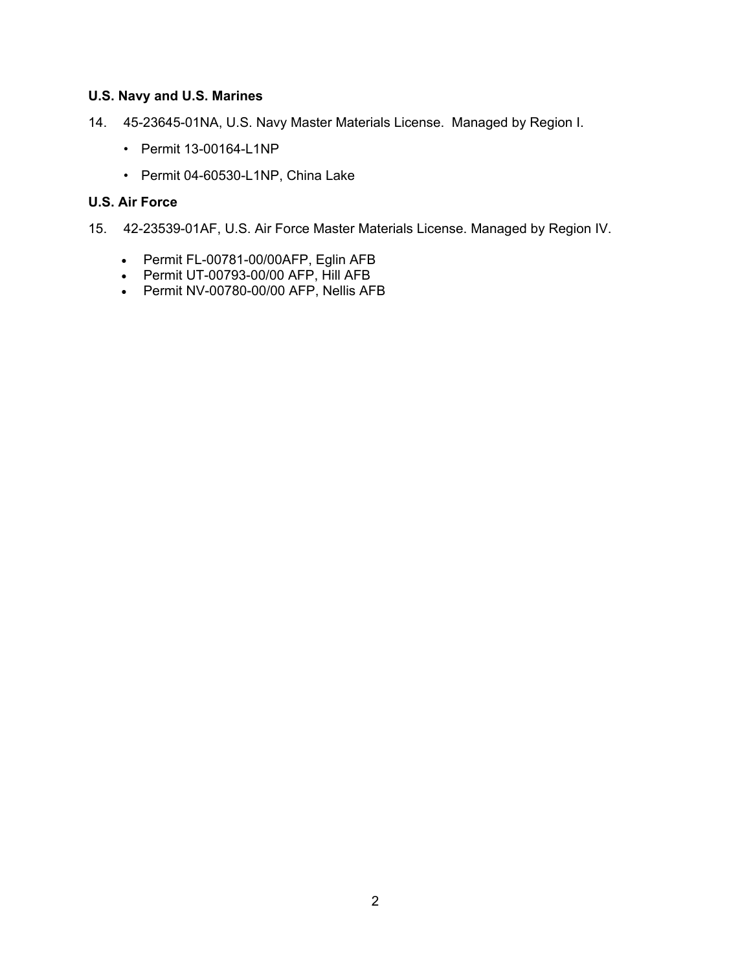### **U.S. Navy and U.S. Marines**

- 14. 45-23645-01NA, U.S. Navy Master Materials License. Managed by Region I.
	- Permit 13-00164-L1NP
	- Permit 04-60530-L1NP, China Lake

## **U.S. Air Force**

- 15. 42-23539-01AF, U.S. Air Force Master Materials License. Managed by Region IV.
	- Permit FL-00781-00/00AFP, Eglin AFB
	- Permit UT-00793-00/00 AFP, Hill AFB
	- Permit NV-00780-00/00 AFP, Nellis AFB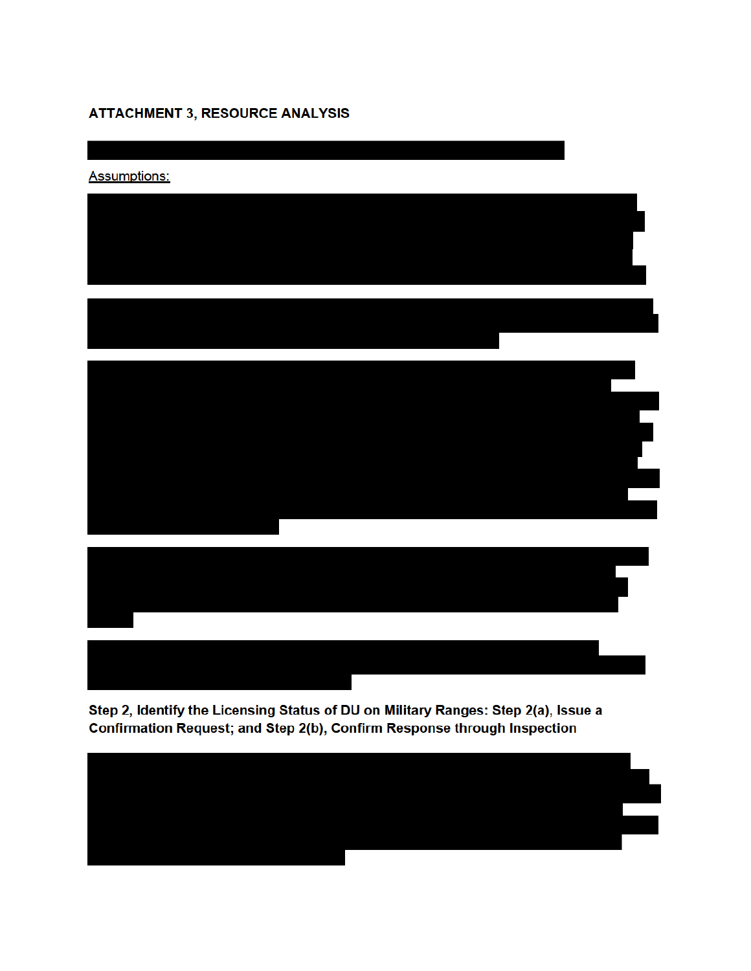# **ATTACHMENT 3, RESOURCE ANALYSIS**



Step 2, Identify the Licensing Status of DU on Military Ranges: Step 2(a), Issue a Confirmation Request; and Step 2(b), Confirm Response through Inspection